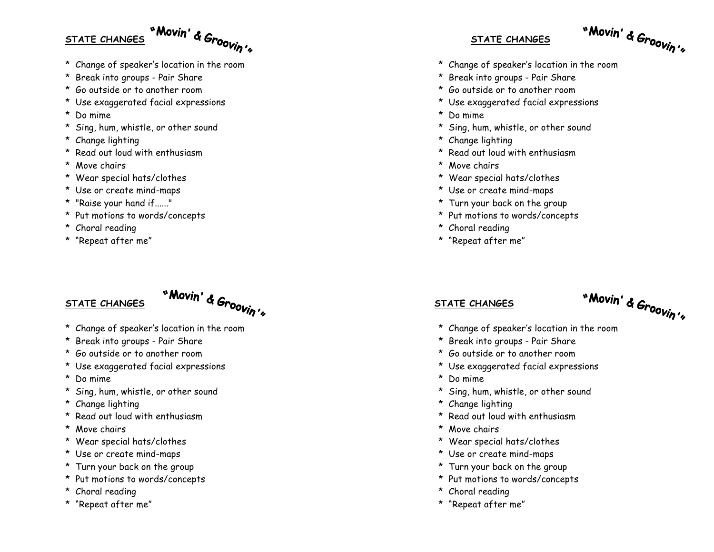## **STATE CHANGES**

\* Change of speaker's location in the room

"Movin' & Groovin's

- \* Break into groups Pair Share
- \* Go outside or to another room
- \* Use exaggerated facial expressions
- \* Do mime
- \* Sing, hum, whistle, or other sound
- \* Change lighting
- \* Read out loud with enthusiasm
- \* Move chairs
- \* Wear special hats/clothes
- \* Use or create mind-maps
- \* "Raise your hand if......"
- \* Put motions to words/concepts
- \* Choral reading
- \* "Repeat after me"

## **STATE CHANGES**



- \* Change of speaker's location in the room
- \* Break into groups Pair Share
- \* Go outside or to another room
- \* Use exaggerated facial expressions
- \* Do mime
- \* Sing, hum, whistle, or other sound
- \* Change lighting
- \* Read out loud with enthusiasm
- \* Move chairs
- \* Wear special hats/clothes
- \* Use or create mind-maps
- \* Turn your back on the group
- \* Put motions to words/concepts
- \* Choral reading
- \* "Repeat after me"

### **STATE CHANGES**



- \* Change of speaker's location in the room
- \* Break into groups Pair Share
- \* Go outside or to another room
- \* Use exaggerated facial expressions
- \* Do mime
- \* Sing, hum, whistle, or other sound
- \* Change lighting
- \* Read out loud with enthusiasm
- \* Move chairs
- \* Wear special hats/clothes
- \* Use or create mind-maps
- \* Turn your back on the group
- \* Put motions to words/concepts
- \* Choral reading
- \* "Repeat after me"

#### **STATE CHANGES**

# "Movin' & Groovin's

- \* Change of speaker's location in the room
- \* Break into groups Pair Share
- \* Go outside or to another room
- \* Use exaggerated facial expressions
- \* Do mime
- \* Sing, hum, whistle, or other sound
- \* Change lighting
- \* Read out loud with enthusiasm
- \* Move chairs
- \* Wear special hats/clothes
- \* Use or create mind-maps
- \* Turn your back on the group
- \* Put motions to words/concepts
- \* Choral reading
- \* "Repeat after me"